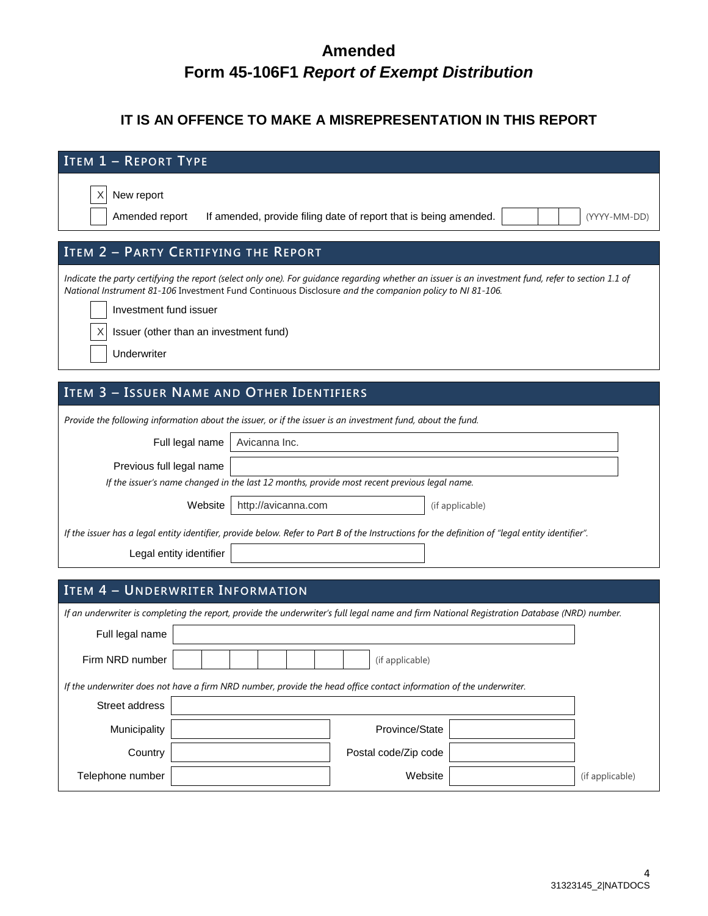# **Amended Form 45-106F1** *Report of Exempt Distribution*

### **IT IS AN OFFENCE TO MAKE A MISREPRESENTATION IN THIS REPORT**

| <b>ITEM 1 - REPORT TYPE</b>                                                                                                                                                                                                                                    |  |  |  |  |  |  |  |  |
|----------------------------------------------------------------------------------------------------------------------------------------------------------------------------------------------------------------------------------------------------------------|--|--|--|--|--|--|--|--|
| New report<br>Amended report<br>If amended, provide filing date of report that is being amended.<br>(YYYY-MM-DD)                                                                                                                                               |  |  |  |  |  |  |  |  |
| ITEM 2 - PARTY CERTIFYING THE REPORT                                                                                                                                                                                                                           |  |  |  |  |  |  |  |  |
| Indicate the party certifying the report (select only one). For guidance regarding whether an issuer is an investment fund, refer to section 1.1 of<br>National Instrument 81-106 Investment Fund Continuous Disclosure and the companion policy to NI 81-106. |  |  |  |  |  |  |  |  |
| Investment fund issuer                                                                                                                                                                                                                                         |  |  |  |  |  |  |  |  |
| Issuer (other than an investment fund)                                                                                                                                                                                                                         |  |  |  |  |  |  |  |  |
| Underwriter                                                                                                                                                                                                                                                    |  |  |  |  |  |  |  |  |
|                                                                                                                                                                                                                                                                |  |  |  |  |  |  |  |  |
| ITEM 3 - ISSUER NAME AND OTHER IDENTIFIERS                                                                                                                                                                                                                     |  |  |  |  |  |  |  |  |
| Provide the following information about the issuer, or if the issuer is an investment fund, about the fund.                                                                                                                                                    |  |  |  |  |  |  |  |  |
| Full legal name<br>Avicanna Inc.                                                                                                                                                                                                                               |  |  |  |  |  |  |  |  |
| Previous full legal name                                                                                                                                                                                                                                       |  |  |  |  |  |  |  |  |
| If the issuer's name changed in the last 12 months, provide most recent previous legal name.                                                                                                                                                                   |  |  |  |  |  |  |  |  |
| Website<br>http://avicanna.com<br>(if applicable)                                                                                                                                                                                                              |  |  |  |  |  |  |  |  |
| If the issuer has a legal entity identifier, provide below. Refer to Part B of the Instructions for the definition of "legal entity identifier".                                                                                                               |  |  |  |  |  |  |  |  |
| Legal entity identifier                                                                                                                                                                                                                                        |  |  |  |  |  |  |  |  |
|                                                                                                                                                                                                                                                                |  |  |  |  |  |  |  |  |
| <b>ITEM 4 - UNDERWRITER INFORMATION</b>                                                                                                                                                                                                                        |  |  |  |  |  |  |  |  |
| If an underwriter is completing the report, provide the underwriter's full legal name and firm National Registration Database (NRD) number.                                                                                                                    |  |  |  |  |  |  |  |  |
| Full legal name                                                                                                                                                                                                                                                |  |  |  |  |  |  |  |  |
| Firm NRD number<br>(if applicable)                                                                                                                                                                                                                             |  |  |  |  |  |  |  |  |
| If the underwriter does not have a firm NRD number, provide the head office contact information of the underwriter.                                                                                                                                            |  |  |  |  |  |  |  |  |
| Street address                                                                                                                                                                                                                                                 |  |  |  |  |  |  |  |  |
| Municipality<br>Province/State                                                                                                                                                                                                                                 |  |  |  |  |  |  |  |  |
| Country<br>Postal code/Zip code                                                                                                                                                                                                                                |  |  |  |  |  |  |  |  |
| Telephone number<br>Website<br>(if applicable)                                                                                                                                                                                                                 |  |  |  |  |  |  |  |  |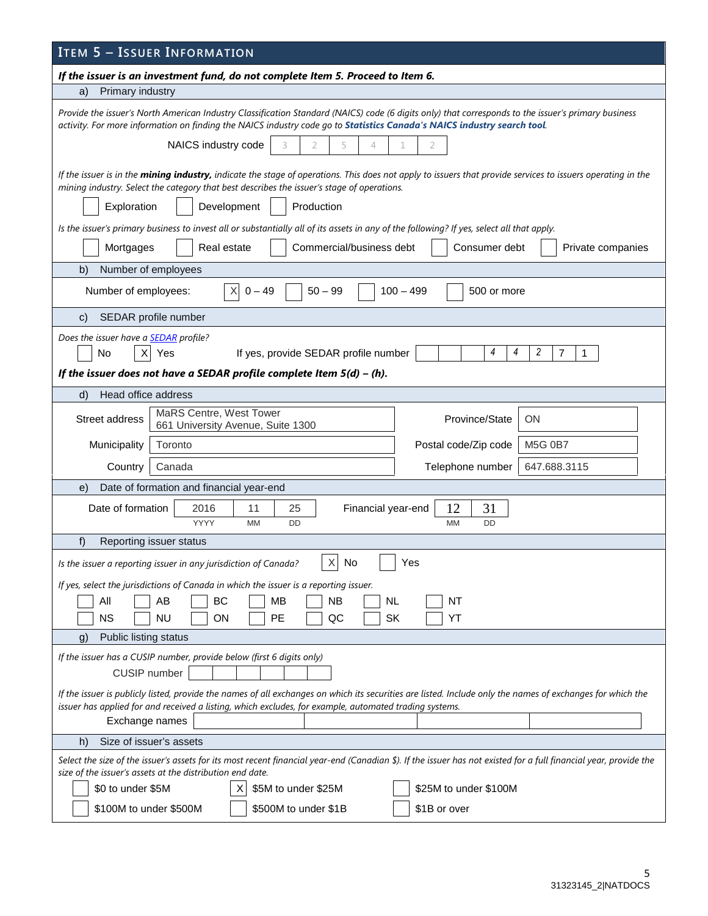| If the issuer is an investment fund, do not complete Item 5. Proceed to Item 6.<br>Primary industry<br>a)<br>Provide the issuer's North American Industry Classification Standard (NAICS) code (6 digits only) that corresponds to the issuer's primary business<br>activity. For more information on finding the NAICS industry code go to Statistics Canada's NAICS industry search tool.<br>NAICS industry code<br>3<br>2<br>5<br>4<br>2<br>If the issuer is in the mining industry, indicate the stage of operations. This does not apply to issuers that provide services to issuers operating in the<br>mining industry. Select the category that best describes the issuer's stage of operations.<br>Production<br>Development<br>Exploration<br>Is the issuer's primary business to invest all or substantially all of its assets in any of the following? If yes, select all that apply.<br>Real estate<br>Commercial/business debt<br>Consumer debt<br>Mortgages<br>Private companies<br>b)<br>Number of employees<br>X<br>Number of employees:<br>$0 - 49$<br>$50 - 99$<br>$100 - 499$<br>500 or more<br>SEDAR profile number<br>$\mathbf{C}$<br>Does the issuer have a <b>SEDAR</b> profile? |  |  |  |  |  |  |
|----------------------------------------------------------------------------------------------------------------------------------------------------------------------------------------------------------------------------------------------------------------------------------------------------------------------------------------------------------------------------------------------------------------------------------------------------------------------------------------------------------------------------------------------------------------------------------------------------------------------------------------------------------------------------------------------------------------------------------------------------------------------------------------------------------------------------------------------------------------------------------------------------------------------------------------------------------------------------------------------------------------------------------------------------------------------------------------------------------------------------------------------------------------------------------------------------------|--|--|--|--|--|--|
|                                                                                                                                                                                                                                                                                                                                                                                                                                                                                                                                                                                                                                                                                                                                                                                                                                                                                                                                                                                                                                                                                                                                                                                                          |  |  |  |  |  |  |
|                                                                                                                                                                                                                                                                                                                                                                                                                                                                                                                                                                                                                                                                                                                                                                                                                                                                                                                                                                                                                                                                                                                                                                                                          |  |  |  |  |  |  |
|                                                                                                                                                                                                                                                                                                                                                                                                                                                                                                                                                                                                                                                                                                                                                                                                                                                                                                                                                                                                                                                                                                                                                                                                          |  |  |  |  |  |  |
|                                                                                                                                                                                                                                                                                                                                                                                                                                                                                                                                                                                                                                                                                                                                                                                                                                                                                                                                                                                                                                                                                                                                                                                                          |  |  |  |  |  |  |
|                                                                                                                                                                                                                                                                                                                                                                                                                                                                                                                                                                                                                                                                                                                                                                                                                                                                                                                                                                                                                                                                                                                                                                                                          |  |  |  |  |  |  |
|                                                                                                                                                                                                                                                                                                                                                                                                                                                                                                                                                                                                                                                                                                                                                                                                                                                                                                                                                                                                                                                                                                                                                                                                          |  |  |  |  |  |  |
|                                                                                                                                                                                                                                                                                                                                                                                                                                                                                                                                                                                                                                                                                                                                                                                                                                                                                                                                                                                                                                                                                                                                                                                                          |  |  |  |  |  |  |
|                                                                                                                                                                                                                                                                                                                                                                                                                                                                                                                                                                                                                                                                                                                                                                                                                                                                                                                                                                                                                                                                                                                                                                                                          |  |  |  |  |  |  |
|                                                                                                                                                                                                                                                                                                                                                                                                                                                                                                                                                                                                                                                                                                                                                                                                                                                                                                                                                                                                                                                                                                                                                                                                          |  |  |  |  |  |  |
| 2<br>4<br>4<br>7<br>No<br>Yes<br>If yes, provide SEDAR profile number<br>1<br>X<br>If the issuer does not have a SEDAR profile complete Item $5(d) - (h)$ .                                                                                                                                                                                                                                                                                                                                                                                                                                                                                                                                                                                                                                                                                                                                                                                                                                                                                                                                                                                                                                              |  |  |  |  |  |  |
| Head office address<br>d)                                                                                                                                                                                                                                                                                                                                                                                                                                                                                                                                                                                                                                                                                                                                                                                                                                                                                                                                                                                                                                                                                                                                                                                |  |  |  |  |  |  |
| MaRS Centre, West Tower<br>Street address<br>Province/State<br>ΟN<br>661 University Avenue, Suite 1300                                                                                                                                                                                                                                                                                                                                                                                                                                                                                                                                                                                                                                                                                                                                                                                                                                                                                                                                                                                                                                                                                                   |  |  |  |  |  |  |
| Postal code/Zip code<br><b>M5G 0B7</b><br>Municipality<br>Toronto                                                                                                                                                                                                                                                                                                                                                                                                                                                                                                                                                                                                                                                                                                                                                                                                                                                                                                                                                                                                                                                                                                                                        |  |  |  |  |  |  |
| Canada<br>Telephone number<br>647.688.3115<br>Country                                                                                                                                                                                                                                                                                                                                                                                                                                                                                                                                                                                                                                                                                                                                                                                                                                                                                                                                                                                                                                                                                                                                                    |  |  |  |  |  |  |
| Date of formation and financial year-end<br>e)                                                                                                                                                                                                                                                                                                                                                                                                                                                                                                                                                                                                                                                                                                                                                                                                                                                                                                                                                                                                                                                                                                                                                           |  |  |  |  |  |  |
| 12<br>31<br>Date of formation<br>2016<br>11<br>25<br>Financial year-end<br><b>YYYY</b><br>MM<br><b>DD</b><br>MM<br><b>DD</b>                                                                                                                                                                                                                                                                                                                                                                                                                                                                                                                                                                                                                                                                                                                                                                                                                                                                                                                                                                                                                                                                             |  |  |  |  |  |  |
| f)<br>Reporting issuer status                                                                                                                                                                                                                                                                                                                                                                                                                                                                                                                                                                                                                                                                                                                                                                                                                                                                                                                                                                                                                                                                                                                                                                            |  |  |  |  |  |  |
| X<br>No<br>Yes<br>Is the issuer a reporting issuer in any jurisdiction of Canada?                                                                                                                                                                                                                                                                                                                                                                                                                                                                                                                                                                                                                                                                                                                                                                                                                                                                                                                                                                                                                                                                                                                        |  |  |  |  |  |  |
| If yes, select the jurisdictions of Canada in which the issuer is a reporting issuer.<br>All<br>BC<br>MB<br><b>NB</b><br>AB<br><b>NL</b><br>NT<br><b>NS</b><br><b>NU</b><br>ON<br>PE<br>QC<br>SK<br>YT                                                                                                                                                                                                                                                                                                                                                                                                                                                                                                                                                                                                                                                                                                                                                                                                                                                                                                                                                                                                   |  |  |  |  |  |  |
| Public listing status<br>$\mathbf{g}$                                                                                                                                                                                                                                                                                                                                                                                                                                                                                                                                                                                                                                                                                                                                                                                                                                                                                                                                                                                                                                                                                                                                                                    |  |  |  |  |  |  |
| If the issuer has a CUSIP number, provide below (first 6 digits only)<br><b>CUSIP</b> number                                                                                                                                                                                                                                                                                                                                                                                                                                                                                                                                                                                                                                                                                                                                                                                                                                                                                                                                                                                                                                                                                                             |  |  |  |  |  |  |
| If the issuer is publicly listed, provide the names of all exchanges on which its securities are listed. Include only the names of exchanges for which the<br>issuer has applied for and received a listing, which excludes, for example, automated trading systems.<br>Exchange names                                                                                                                                                                                                                                                                                                                                                                                                                                                                                                                                                                                                                                                                                                                                                                                                                                                                                                                   |  |  |  |  |  |  |
| Size of issuer's assets<br>h)                                                                                                                                                                                                                                                                                                                                                                                                                                                                                                                                                                                                                                                                                                                                                                                                                                                                                                                                                                                                                                                                                                                                                                            |  |  |  |  |  |  |
| Select the size of the issuer's assets for its most recent financial year-end (Canadian \$). If the issuer has not existed for a full financial year, provide the<br>size of the issuer's assets at the distribution end date.                                                                                                                                                                                                                                                                                                                                                                                                                                                                                                                                                                                                                                                                                                                                                                                                                                                                                                                                                                           |  |  |  |  |  |  |
| \$25M to under \$100M<br>\$0 to under \$5M<br>\$5M to under \$25M<br>\$100M to under \$500M<br>\$500M to under \$1B<br>\$1B or over                                                                                                                                                                                                                                                                                                                                                                                                                                                                                                                                                                                                                                                                                                                                                                                                                                                                                                                                                                                                                                                                      |  |  |  |  |  |  |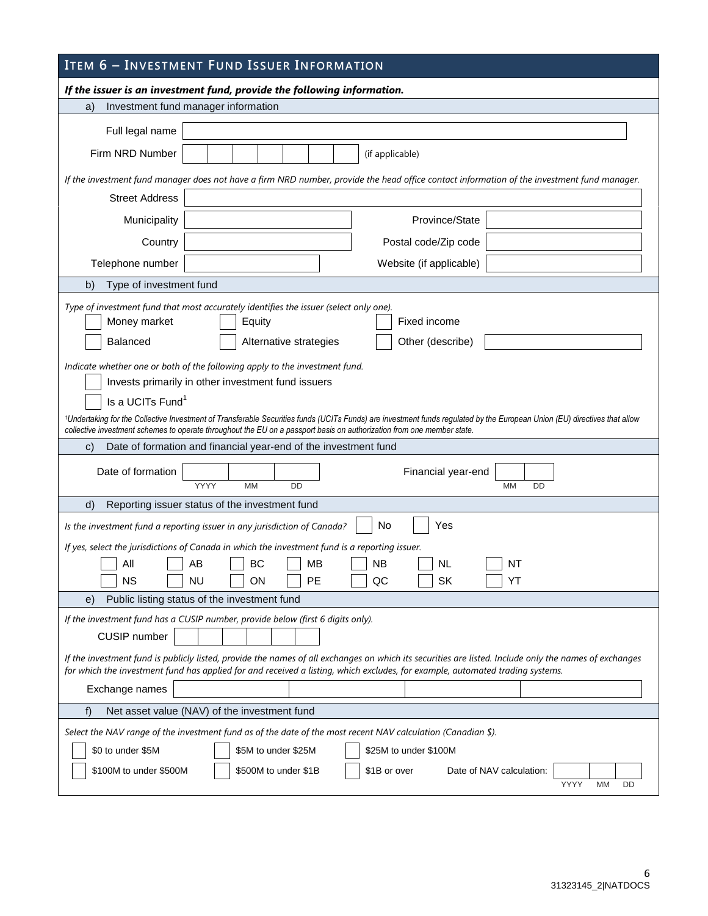## **ITEM 6 – INVESTMENT FUND ISSUER INFORMATION**

|                               | If the issuer is an investment fund, provide the following information.                                                                                                                                                                                                                                                                                                                                                                              |
|-------------------------------|------------------------------------------------------------------------------------------------------------------------------------------------------------------------------------------------------------------------------------------------------------------------------------------------------------------------------------------------------------------------------------------------------------------------------------------------------|
| a)                            | Investment fund manager information                                                                                                                                                                                                                                                                                                                                                                                                                  |
| Full legal name               |                                                                                                                                                                                                                                                                                                                                                                                                                                                      |
| Firm NRD Number               | (if applicable)                                                                                                                                                                                                                                                                                                                                                                                                                                      |
|                               | If the investment fund manager does not have a firm NRD number, provide the head office contact information of the investment fund manager.                                                                                                                                                                                                                                                                                                          |
| <b>Street Address</b>         |                                                                                                                                                                                                                                                                                                                                                                                                                                                      |
| Municipality                  | Province/State                                                                                                                                                                                                                                                                                                                                                                                                                                       |
| Country                       | Postal code/Zip code                                                                                                                                                                                                                                                                                                                                                                                                                                 |
| Telephone number              | Website (if applicable)                                                                                                                                                                                                                                                                                                                                                                                                                              |
| b)<br>Type of investment fund |                                                                                                                                                                                                                                                                                                                                                                                                                                                      |
| Money market<br>Balanced      | Type of investment fund that most accurately identifies the issuer (select only one).<br>Fixed income<br>Equity<br>Other (describe)<br>Alternative strategies                                                                                                                                                                                                                                                                                        |
| Is a UCITs Fund <sup>1</sup>  | Indicate whether one or both of the following apply to the investment fund.<br>Invests primarily in other investment fund issuers<br><sup>1</sup> Undertaking for the Collective Investment of Transferable Securities funds (UCITs Funds) are investment funds regulated by the European Union (EU) directives that allow<br>collective investment schemes to operate throughout the EU on a passport basis on authorization from one member state. |
| C)                            | Date of formation and financial year-end of the investment fund                                                                                                                                                                                                                                                                                                                                                                                      |
| Date of formation             | Financial year-end<br>YYYY<br><b>MM</b><br><b>MM</b><br>DD<br>DD                                                                                                                                                                                                                                                                                                                                                                                     |
| d)                            | Reporting issuer status of the investment fund                                                                                                                                                                                                                                                                                                                                                                                                       |
|                               | No<br>Yes<br>Is the investment fund a reporting issuer in any jurisdiction of Canada?                                                                                                                                                                                                                                                                                                                                                                |
| All<br><b>NS</b>              | If yes, select the jurisdictions of Canada in which the investment fund is a reporting issuer.<br>BC<br>AB<br>МB<br><b>NB</b><br><b>NL</b><br>NT<br><b>NU</b><br><b>PE</b><br><b>SK</b><br>ΟN<br>QC<br>YT                                                                                                                                                                                                                                            |
| e)                            | Public listing status of the investment fund                                                                                                                                                                                                                                                                                                                                                                                                         |
| CUSIP number                  | If the investment fund has a CUSIP number, provide below (first 6 digits only).                                                                                                                                                                                                                                                                                                                                                                      |
|                               | If the investment fund is publicly listed, provide the names of all exchanges on which its securities are listed. Include only the names of exchanges<br>for which the investment fund has applied for and received a listing, which excludes, for example, automated trading systems.                                                                                                                                                               |
| Exchange names                |                                                                                                                                                                                                                                                                                                                                                                                                                                                      |
| f)                            | Net asset value (NAV) of the investment fund                                                                                                                                                                                                                                                                                                                                                                                                         |
| \$0 to under \$5M             | Select the NAV range of the investment fund as of the date of the most recent NAV calculation (Canadian \$).<br>\$5M to under \$25M<br>\$25M to under \$100M<br>\$1B or over                                                                                                                                                                                                                                                                         |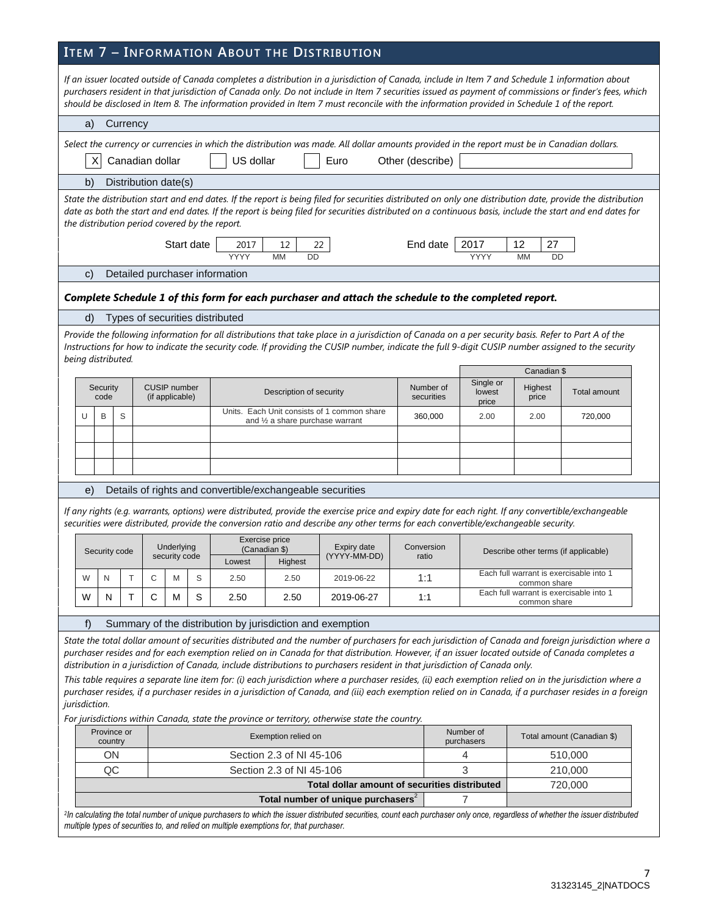## **ITEM 7 – INFORMATION ABOUT THE DISTRIBUTION**

|                                                |                      |                             |   |                                                           |                                            | If an issuer located outside of Canada completes a distribution in a jurisdiction of Canada, include in Item 7 and Schedule 1 information about<br>should be disclosed in Item 8. The information provided in Item 7 must reconcile with the information provided in Schedule 1 of the report. |                     |                         |                                      | purchasers resident in that jurisdiction of Canada only. Do not include in Item 7 securities issued as payment of commissions or finder's fees, which                                                                                                                                                                                                                                                                                                                                                                                                                                                                            |
|------------------------------------------------|----------------------|-----------------------------|---|-----------------------------------------------------------|--------------------------------------------|------------------------------------------------------------------------------------------------------------------------------------------------------------------------------------------------------------------------------------------------------------------------------------------------|---------------------|-------------------------|--------------------------------------|----------------------------------------------------------------------------------------------------------------------------------------------------------------------------------------------------------------------------------------------------------------------------------------------------------------------------------------------------------------------------------------------------------------------------------------------------------------------------------------------------------------------------------------------------------------------------------------------------------------------------------|
| Currency<br>a)                                 |                      |                             |   |                                                           |                                            |                                                                                                                                                                                                                                                                                                |                     |                         |                                      |                                                                                                                                                                                                                                                                                                                                                                                                                                                                                                                                                                                                                                  |
| X                                              | Canadian dollar      |                             |   | US dollar                                                 |                                            | Select the currency or currencies in which the distribution was made. All dollar amounts provided in the report must be in Canadian dollars.<br>Euro                                                                                                                                           | Other (describe)    |                         |                                      |                                                                                                                                                                                                                                                                                                                                                                                                                                                                                                                                                                                                                                  |
| b)                                             | Distribution date(s) |                             |   |                                                           |                                            |                                                                                                                                                                                                                                                                                                |                     |                         |                                      |                                                                                                                                                                                                                                                                                                                                                                                                                                                                                                                                                                                                                                  |
| the distribution period covered by the report. |                      |                             |   |                                                           |                                            |                                                                                                                                                                                                                                                                                                |                     |                         |                                      | State the distribution start and end dates. If the report is being filed for securities distributed on only one distribution date, provide the distribution<br>date as both the start and end dates. If the report is being filed for securities distributed on a continuous basis, include the start and end dates for                                                                                                                                                                                                                                                                                                          |
|                                                |                      | Start date                  |   | 2017<br>YYYY                                              | 12<br><b>MM</b><br>DD                      | 22                                                                                                                                                                                                                                                                                             | End date            | 2017<br>YYYY            | 12<br>27<br><b>MM</b><br><b>DD</b>   |                                                                                                                                                                                                                                                                                                                                                                                                                                                                                                                                                                                                                                  |
| C)                                             |                      |                             |   | Detailed purchaser information                            |                                            |                                                                                                                                                                                                                                                                                                |                     |                         |                                      |                                                                                                                                                                                                                                                                                                                                                                                                                                                                                                                                                                                                                                  |
|                                                |                      |                             |   |                                                           |                                            | Complete Schedule 1 of this form for each purchaser and attach the schedule to the completed report.                                                                                                                                                                                           |                     |                         |                                      |                                                                                                                                                                                                                                                                                                                                                                                                                                                                                                                                                                                                                                  |
| d)                                             |                      |                             |   | Types of securities distributed                           |                                            |                                                                                                                                                                                                                                                                                                |                     |                         |                                      |                                                                                                                                                                                                                                                                                                                                                                                                                                                                                                                                                                                                                                  |
| being distributed.                             |                      |                             |   |                                                           |                                            | Provide the following information for all distributions that take place in a jurisdiction of Canada on a per security basis. Refer to Part A of the                                                                                                                                            |                     |                         |                                      | Instructions for how to indicate the security code. If providing the CUSIP number, indicate the full 9-digit CUSIP number assigned to the security                                                                                                                                                                                                                                                                                                                                                                                                                                                                               |
| Security                                       |                      | <b>CUSIP</b> number         |   |                                                           |                                            |                                                                                                                                                                                                                                                                                                | Number of           | Single or               | Canadian \$<br>Highest               |                                                                                                                                                                                                                                                                                                                                                                                                                                                                                                                                                                                                                                  |
| code                                           |                      | (if applicable)             |   |                                                           | Description of security                    |                                                                                                                                                                                                                                                                                                | securities          | lowest<br>price         | price                                | <b>Total amount</b>                                                                                                                                                                                                                                                                                                                                                                                                                                                                                                                                                                                                              |
| S<br>B<br>U                                    |                      |                             |   |                                                           | and $\frac{1}{2}$ a share purchase warrant | Units. Each Unit consists of 1 common share                                                                                                                                                                                                                                                    | 360,000             | 2.00                    | 2.00                                 | 720,000                                                                                                                                                                                                                                                                                                                                                                                                                                                                                                                                                                                                                          |
|                                                |                      |                             |   |                                                           |                                            |                                                                                                                                                                                                                                                                                                |                     |                         |                                      |                                                                                                                                                                                                                                                                                                                                                                                                                                                                                                                                                                                                                                  |
|                                                |                      |                             |   |                                                           |                                            |                                                                                                                                                                                                                                                                                                |                     |                         |                                      |                                                                                                                                                                                                                                                                                                                                                                                                                                                                                                                                                                                                                                  |
|                                                |                      |                             |   |                                                           |                                            |                                                                                                                                                                                                                                                                                                |                     |                         |                                      |                                                                                                                                                                                                                                                                                                                                                                                                                                                                                                                                                                                                                                  |
| e)                                             |                      |                             |   | Details of rights and convertible/exchangeable securities |                                            |                                                                                                                                                                                                                                                                                                |                     |                         |                                      |                                                                                                                                                                                                                                                                                                                                                                                                                                                                                                                                                                                                                                  |
|                                                |                      |                             |   |                                                           |                                            | If any rights (e.g. warrants, options) were distributed, provide the exercise price and expiry date for each right. If any convertible/exchangeable<br>securities were distributed, provide the conversion ratio and describe any other terms for each convertible/exchangeable security.      |                     |                         |                                      |                                                                                                                                                                                                                                                                                                                                                                                                                                                                                                                                                                                                                                  |
| Security code                                  |                      | Underlying<br>security code |   | Exercise price<br>(Canadian \$)<br>Lowest                 | Highest                                    | Expiry date<br>(YYYY-MM-DD)                                                                                                                                                                                                                                                                    | Conversion<br>ratio |                         | Describe other terms (if applicable) |                                                                                                                                                                                                                                                                                                                                                                                                                                                                                                                                                                                                                                  |
| N<br>W                                         | С                    | M                           | S | 2.50                                                      | 2.50                                       | 2019-06-22                                                                                                                                                                                                                                                                                     | 1:1                 |                         | common share                         | Each full warrant is exercisable into 1                                                                                                                                                                                                                                                                                                                                                                                                                                                                                                                                                                                          |
| W<br>N                                         | т<br>С               | М                           | S | 2.50                                                      | 2.50                                       | 2019-06-27                                                                                                                                                                                                                                                                                     | 1:1                 |                         | common share                         | Each full warrant is exercisable into 1                                                                                                                                                                                                                                                                                                                                                                                                                                                                                                                                                                                          |
| f)                                             |                      |                             |   | Summary of the distribution by jurisdiction and exemption |                                            |                                                                                                                                                                                                                                                                                                |                     |                         |                                      |                                                                                                                                                                                                                                                                                                                                                                                                                                                                                                                                                                                                                                  |
| jurisdiction.                                  |                      |                             |   |                                                           |                                            | distribution in a jurisdiction of Canada, include distributions to purchasers resident in that jurisdiction of Canada only.<br>For jurisdictions within Canada, state the province or territory, otherwise state the country.                                                                  |                     |                         |                                      | State the total dollar amount of securities distributed and the number of purchasers for each jurisdiction of Canada and foreign jurisdiction where a<br>purchaser resides and for each exemption relied on in Canada for that distribution. However, if an issuer located outside of Canada completes a<br>This table requires a separate line item for: (i) each jurisdiction where a purchaser resides, (ii) each exemption relied on in the jurisdiction where a<br>purchaser resides, if a purchaser resides in a jurisdiction of Canada, and (iii) each exemption relied on in Canada, if a purchaser resides in a foreign |
| Province or                                    |                      |                             |   |                                                           | Exemption relied on                        |                                                                                                                                                                                                                                                                                                |                     | Number of<br>purchasers |                                      | Total amount (Canadian \$)                                                                                                                                                                                                                                                                                                                                                                                                                                                                                                                                                                                                       |
| country<br>ON                                  |                      |                             |   |                                                           | Section 2.3 of NI 45-106                   |                                                                                                                                                                                                                                                                                                |                     | 4                       |                                      | 510,000                                                                                                                                                                                                                                                                                                                                                                                                                                                                                                                                                                                                                          |
| QC                                             |                      |                             |   |                                                           | Section 2.3 of NI 45-106                   |                                                                                                                                                                                                                                                                                                |                     | 3                       |                                      | 210,000                                                                                                                                                                                                                                                                                                                                                                                                                                                                                                                                                                                                                          |
|                                                |                      |                             |   |                                                           |                                            | Total dollar amount of securities distributed                                                                                                                                                                                                                                                  |                     |                         |                                      | 720,000                                                                                                                                                                                                                                                                                                                                                                                                                                                                                                                                                                                                                          |
|                                                |                      |                             |   |                                                           |                                            | Total number of unique purchasers <sup>2</sup>                                                                                                                                                                                                                                                 |                     | 7                       |                                      | lo calculating the total number of unique purchasers to which the issuer distributed securities, count each purchaser only once, regardless of whether the issuer distributed                                                                                                                                                                                                                                                                                                                                                                                                                                                    |

*2 In calculating the total number of unique purchasers to which the issuer distributed securities, count each purchaser only once, regardless of whether the issuer distributed multiple types of securities to, and relied on multiple exemptions for, that purchaser.*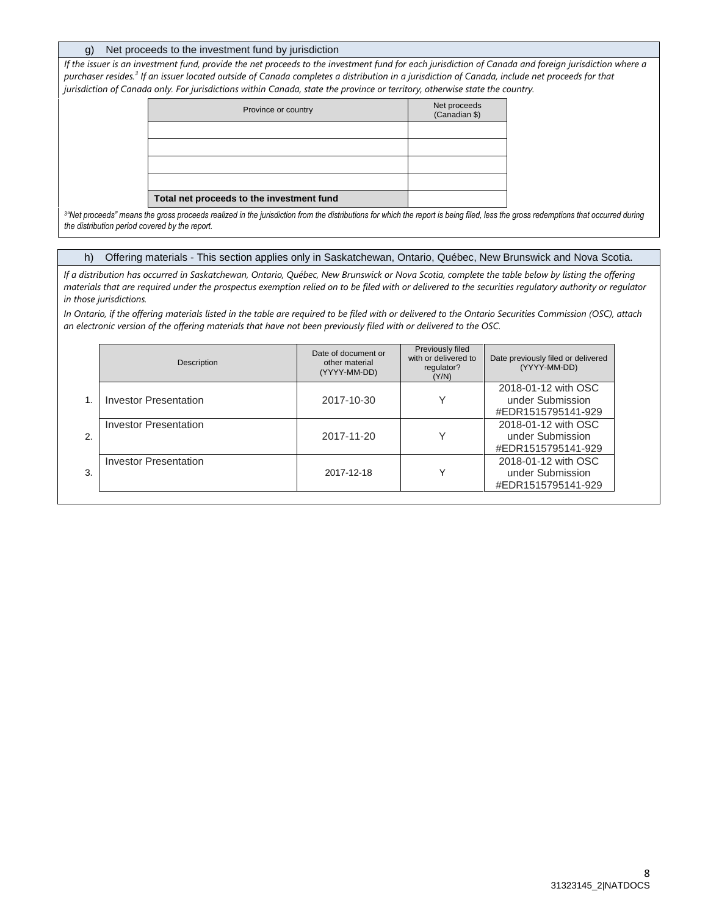#### g) Net proceeds to the investment fund by jurisdiction

*If the issuer is an investment fund, provide the net proceeds to the investment fund for each jurisdiction of Canada and foreign jurisdiction where a purchaser resides.<sup>3</sup> If an issuer located outside of Canada completes a distribution in a jurisdiction of Canada, include net proceeds for that jurisdiction of Canada only. For jurisdictions within Canada, state the province or territory, otherwise state the country.*

| Province or country                       | Net proceeds<br>(Canadian \$) |
|-------------------------------------------|-------------------------------|
|                                           |                               |
|                                           |                               |
|                                           |                               |
|                                           |                               |
| Total net proceeds to the investment fund |                               |

*3 "Net proceeds" means the gross proceeds realized in the jurisdiction from the distributions for which the report is being filed, less the gross redemptions that occurred during the distribution period covered by the report.* 

h) Offering materials - This section applies only in Saskatchewan, Ontario, Québec, New Brunswick and Nova Scotia.

*If a distribution has occurred in Saskatchewan, Ontario, Québec, New Brunswick or Nova Scotia, complete the table below by listing the offering materials that are required under the prospectus exemption relied on to be filed with or delivered to the securities regulatory authority or regulator in those jurisdictions.* 

*In Ontario, if the offering materials listed in the table are required to be filed with or delivered to the Ontario Securities Commission (OSC), attach an electronic version of the offering materials that have not been previously filed with or delivered to the OSC.* 

|    | Description                  | Date of document or<br>other material<br>(YYYY-MM-DD) | Previously filed<br>with or delivered to<br>regulator?<br>(Y/N) | Date previously filed or delivered<br>(YYYY-MM-DD)            |
|----|------------------------------|-------------------------------------------------------|-----------------------------------------------------------------|---------------------------------------------------------------|
|    | Investor Presentation        | 2017-10-30                                            |                                                                 | 2018-01-12 with OSC<br>under Submission<br>#EDR1515795141-929 |
| 2. | <b>Investor Presentation</b> | 2017-11-20                                            |                                                                 | 2018-01-12 with OSC<br>under Submission<br>#EDR1515795141-929 |
| 3. | Investor Presentation        | 2017-12-18                                            |                                                                 | 2018-01-12 with OSC<br>under Submission<br>#EDR1515795141-929 |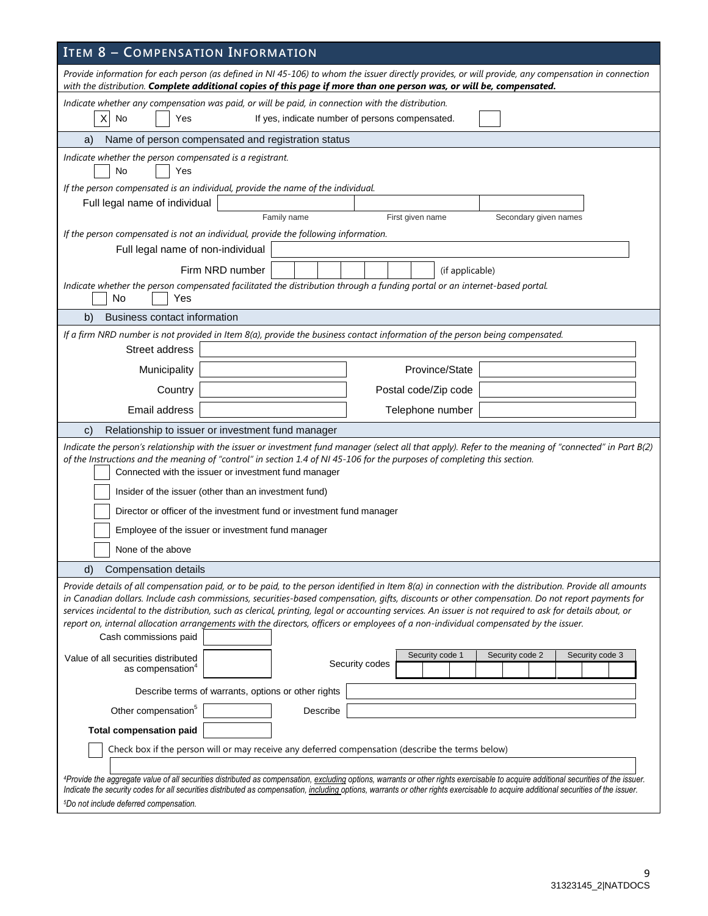| <b>ITEM 8 - COMPENSATION INFORMATION</b>                                                                                                                                                                                                                                                                                                                                                                                                                                                                                                                                                                                                  |  |  |  |  |  |  |  |  |
|-------------------------------------------------------------------------------------------------------------------------------------------------------------------------------------------------------------------------------------------------------------------------------------------------------------------------------------------------------------------------------------------------------------------------------------------------------------------------------------------------------------------------------------------------------------------------------------------------------------------------------------------|--|--|--|--|--|--|--|--|
| Provide information for each person (as defined in NI 45-106) to whom the issuer directly provides, or will provide, any compensation in connection<br>with the distribution. Complete additional copies of this page if more than one person was, or will be, compensated.                                                                                                                                                                                                                                                                                                                                                               |  |  |  |  |  |  |  |  |
| Indicate whether any compensation was paid, or will be paid, in connection with the distribution.<br>No<br>X<br>If yes, indicate number of persons compensated.<br>Yes                                                                                                                                                                                                                                                                                                                                                                                                                                                                    |  |  |  |  |  |  |  |  |
| Name of person compensated and registration status<br>a)                                                                                                                                                                                                                                                                                                                                                                                                                                                                                                                                                                                  |  |  |  |  |  |  |  |  |
| Indicate whether the person compensated is a registrant.<br>No<br>Yes                                                                                                                                                                                                                                                                                                                                                                                                                                                                                                                                                                     |  |  |  |  |  |  |  |  |
| If the person compensated is an individual, provide the name of the individual.                                                                                                                                                                                                                                                                                                                                                                                                                                                                                                                                                           |  |  |  |  |  |  |  |  |
| Full legal name of individual<br>Family name<br>First given name<br>Secondary given names                                                                                                                                                                                                                                                                                                                                                                                                                                                                                                                                                 |  |  |  |  |  |  |  |  |
| If the person compensated is not an individual, provide the following information.                                                                                                                                                                                                                                                                                                                                                                                                                                                                                                                                                        |  |  |  |  |  |  |  |  |
| Full legal name of non-individual                                                                                                                                                                                                                                                                                                                                                                                                                                                                                                                                                                                                         |  |  |  |  |  |  |  |  |
| Firm NRD number<br>(if applicable)                                                                                                                                                                                                                                                                                                                                                                                                                                                                                                                                                                                                        |  |  |  |  |  |  |  |  |
| Indicate whether the person compensated facilitated the distribution through a funding portal or an internet-based portal.                                                                                                                                                                                                                                                                                                                                                                                                                                                                                                                |  |  |  |  |  |  |  |  |
| No<br>Yes                                                                                                                                                                                                                                                                                                                                                                                                                                                                                                                                                                                                                                 |  |  |  |  |  |  |  |  |
| <b>Business contact information</b><br>b)                                                                                                                                                                                                                                                                                                                                                                                                                                                                                                                                                                                                 |  |  |  |  |  |  |  |  |
| If a firm NRD number is not provided in Item 8(a), provide the business contact information of the person being compensated.                                                                                                                                                                                                                                                                                                                                                                                                                                                                                                              |  |  |  |  |  |  |  |  |
| Street address                                                                                                                                                                                                                                                                                                                                                                                                                                                                                                                                                                                                                            |  |  |  |  |  |  |  |  |
| Province/State<br>Municipality                                                                                                                                                                                                                                                                                                                                                                                                                                                                                                                                                                                                            |  |  |  |  |  |  |  |  |
| Country<br>Postal code/Zip code                                                                                                                                                                                                                                                                                                                                                                                                                                                                                                                                                                                                           |  |  |  |  |  |  |  |  |
| Email address<br>Telephone number                                                                                                                                                                                                                                                                                                                                                                                                                                                                                                                                                                                                         |  |  |  |  |  |  |  |  |
| Relationship to issuer or investment fund manager<br>$\mathbf{C}$                                                                                                                                                                                                                                                                                                                                                                                                                                                                                                                                                                         |  |  |  |  |  |  |  |  |
| Indicate the person's relationship with the issuer or investment fund manager (select all that apply). Refer to the meaning of "connected" in Part B(2)<br>of the Instructions and the meaning of "control" in section 1.4 of NI 45-106 for the purposes of completing this section.<br>Connected with the issuer or investment fund manager<br>Insider of the issuer (other than an investment fund)                                                                                                                                                                                                                                     |  |  |  |  |  |  |  |  |
| Director or officer of the investment fund or investment fund manager                                                                                                                                                                                                                                                                                                                                                                                                                                                                                                                                                                     |  |  |  |  |  |  |  |  |
| Employee of the issuer or investment fund manager                                                                                                                                                                                                                                                                                                                                                                                                                                                                                                                                                                                         |  |  |  |  |  |  |  |  |
| None of the above                                                                                                                                                                                                                                                                                                                                                                                                                                                                                                                                                                                                                         |  |  |  |  |  |  |  |  |
|                                                                                                                                                                                                                                                                                                                                                                                                                                                                                                                                                                                                                                           |  |  |  |  |  |  |  |  |
| d)<br>Compensation details                                                                                                                                                                                                                                                                                                                                                                                                                                                                                                                                                                                                                |  |  |  |  |  |  |  |  |
| Provide details of all compensation paid, or to be paid, to the person identified in Item 8(a) in connection with the distribution. Provide all amounts<br>in Canadian dollars. Include cash commissions, securities-based compensation, gifts, discounts or other compensation. Do not report payments for<br>services incidental to the distribution, such as clerical, printing, legal or accounting services. An issuer is not required to ask for details about, or<br>report on, internal allocation arrangements with the directors, officers or employees of a non-individual compensated by the issuer.<br>Cash commissions paid |  |  |  |  |  |  |  |  |
| Security code 3<br>Security code 1<br>Security code 2<br>Value of all securities distributed<br>Security codes<br>as compensation <sup>4</sup>                                                                                                                                                                                                                                                                                                                                                                                                                                                                                            |  |  |  |  |  |  |  |  |
| Describe terms of warrants, options or other rights                                                                                                                                                                                                                                                                                                                                                                                                                                                                                                                                                                                       |  |  |  |  |  |  |  |  |
| Other compensation <sup>5</sup><br>Describe                                                                                                                                                                                                                                                                                                                                                                                                                                                                                                                                                                                               |  |  |  |  |  |  |  |  |
| <b>Total compensation paid</b>                                                                                                                                                                                                                                                                                                                                                                                                                                                                                                                                                                                                            |  |  |  |  |  |  |  |  |
| Check box if the person will or may receive any deferred compensation (describe the terms below)                                                                                                                                                                                                                                                                                                                                                                                                                                                                                                                                          |  |  |  |  |  |  |  |  |
| 4Provide the aggregate value of all securities distributed as compensation, excluding options, warrants or other rights exercisable to acquire additional securities of the issuer.<br>Indicate the security codes for all securities distributed as compensation, including options, warrants or other rights exercisable to acquire additional securities of the issuer.<br><sup>5</sup> Do not include deferred compensation.                                                                                                                                                                                                          |  |  |  |  |  |  |  |  |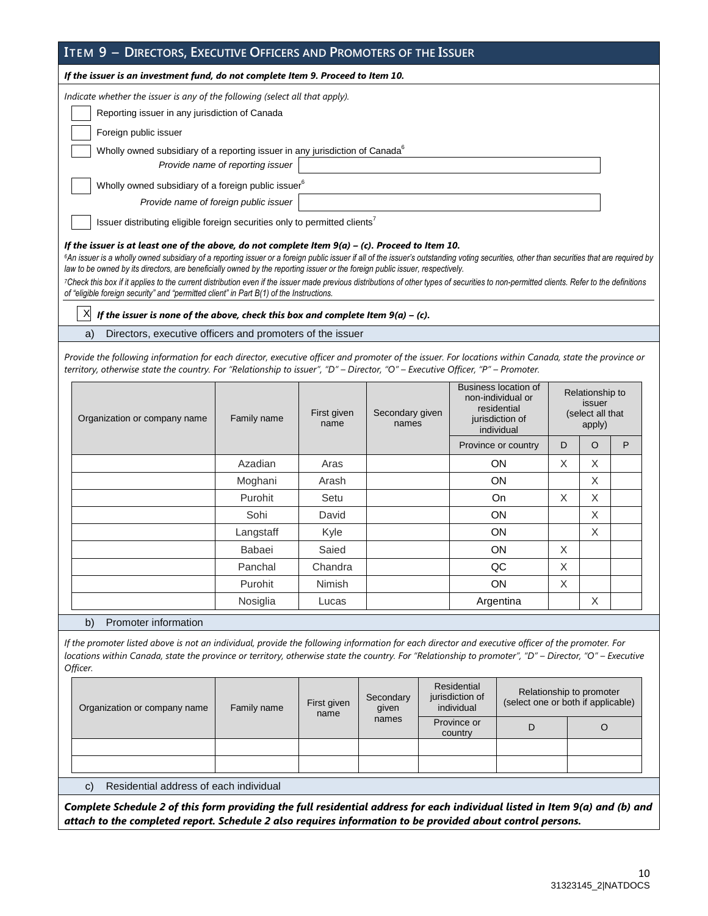| ITEM 9 - DIRECTORS, EXECUTIVE OFFICERS AND PROMOTERS OF THE ISSUER                                  |  |  |  |  |  |
|-----------------------------------------------------------------------------------------------------|--|--|--|--|--|
| If the issuer is an investment fund, do not complete Item 9. Proceed to Item 10.                    |  |  |  |  |  |
| Indicate whether the issuer is any of the following (select all that apply).                        |  |  |  |  |  |
| Reporting issuer in any jurisdiction of Canada                                                      |  |  |  |  |  |
| Foreign public issuer                                                                               |  |  |  |  |  |
| Wholly owned subsidiary of a reporting issuer in any jurisdiction of Canada <sup>6</sup>            |  |  |  |  |  |
| Provide name of reporting issuer                                                                    |  |  |  |  |  |
| Wholly owned subsidiary of a foreign public issuer <sup>6</sup>                                     |  |  |  |  |  |
| Provide name of foreign public issuer                                                               |  |  |  |  |  |
| Issuer distributing eligible foreign securities only to permitted clients <sup>7</sup>              |  |  |  |  |  |
| If the issuer is at least one of the above, do not complete Item $9(a) - (c)$ . Proceed to Item 10. |  |  |  |  |  |

 $6$ An issuer is a wholly owned subsidiary of a reporting issuer or a foreign public issuer if all of the issuer's outstanding voting securities, other than securities that are required by *law to be owned by its directors, are beneficially owned by the reporting issuer or the foreign public issuer, respectively.* 

*<sup>7</sup>Check this box if it applies to the current distribution even if the issuer made previous distributions of other types of securities to non-permitted clients. Refer to the definitions of "eligible foreign security" and "permitted client" in Part B(1) of the Instructions.*

 $X$  *If the issuer is none of the above, check this box and complete Item 9(a) – (c).* 

a) Directors, executive officers and promoters of the issuer

*Provide the following information for each director, executive officer and promoter of the issuer. For locations within Canada, state the province or territory, otherwise state the country. For "Relationship to issuer", "D" – Director, "O" – Executive Officer, "P" – Promoter.* 

| Organization or company name | Family name | First given<br>name | Secondary given<br>names | Business location of<br>non-individual or<br>residential<br>jurisdiction of<br>individual |   | Relationship to<br>issuer<br>(select all that<br>apply) |   |
|------------------------------|-------------|---------------------|--------------------------|-------------------------------------------------------------------------------------------|---|---------------------------------------------------------|---|
|                              |             |                     |                          | Province or country                                                                       | D | $\circ$                                                 | P |
|                              | Azadian     | Aras                |                          | <b>ON</b>                                                                                 | X | X                                                       |   |
|                              | Moghani     | Arash               |                          | <b>ON</b>                                                                                 |   | X                                                       |   |
|                              | Purohit     | Setu                |                          | On                                                                                        | X | X                                                       |   |
|                              | Sohi        | David               |                          | ON                                                                                        | X |                                                         |   |
|                              | Langstaff   | Kyle                |                          | ON                                                                                        |   | X                                                       |   |
|                              | Babaei      | Saied               |                          | ON                                                                                        | X |                                                         |   |
|                              | Panchal     | Chandra             |                          | QC                                                                                        | X |                                                         |   |
|                              | Purohit     | Nimish              |                          | ON                                                                                        | X |                                                         |   |
|                              | Nosiglia    | Lucas               |                          | Argentina                                                                                 |   | X                                                       |   |

b) Promoter information

*If the promoter listed above is not an individual, provide the following information for each director and executive officer of the promoter. For locations within Canada, state the province or territory, otherwise state the country. For "Relationship to promoter", "D" – Director, "O" – Executive Officer.* 

| Organization or company name              | First given<br>Family name<br>name |  | Secondary<br>given | Residential<br>jurisdiction of<br>individual | Relationship to promoter<br>(select one or both if applicable) |  |  |
|-------------------------------------------|------------------------------------|--|--------------------|----------------------------------------------|----------------------------------------------------------------|--|--|
|                                           |                                    |  | names              | Province or<br>country                       |                                                                |  |  |
|                                           |                                    |  |                    |                                              |                                                                |  |  |
|                                           |                                    |  |                    |                                              |                                                                |  |  |
| a) Posidential address of each individual |                                    |  |                    |                                              |                                                                |  |  |

c) Residential address of each individual

*Complete Schedule 2 of this form providing the full residential address for each individual listed in Item 9(a) and (b) and attach to the completed report. Schedule 2 also requires information to be provided about control persons.*